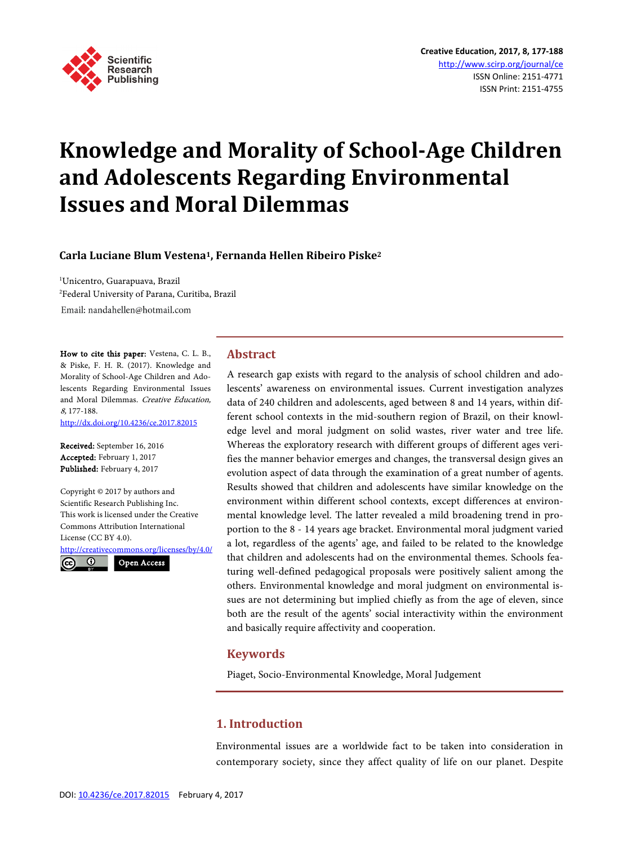

# **Knowledge and Morality of School-Age Children and Adolescents Regarding Environmental Issues and Moral Dilemmas**

## **Carla Luciane Blum Vestena1, Fernanda Hellen Ribeiro Piske2**

1 Unicentro, Guarapuava, Brazil 2 Federal University of Parana, Curitiba, Brazil Email: nandahellen@hotmail.com

How to cite this paper: Vestena, C. L. B., & Piske, F. H. R. (2017). Knowledge and Morality of School-Age Children and Adolescents Regarding Environmental Issues and Moral Dilemmas. Creative Education, 8, 177-188.

<http://dx.doi.org/10.4236/ce.2017.82015>

Received: September 16, 2016 Accepted: February 1, 2017 Published: February 4, 2017

Copyright © 2017 by authors and Scientific Research Publishing Inc. This work is licensed under the Creative Commons Attribution International License (CC BY 4.0). <http://creativecommons.org/licenses/by/4.0/>  $\odot$ Open Access

## **Abstract**

A research gap exists with regard to the analysis of school children and adolescents' awareness on environmental issues. Current investigation analyzes data of 240 children and adolescents, aged between 8 and 14 years, within different school contexts in the mid-southern region of Brazil, on their knowledge level and moral judgment on solid wastes, river water and tree life. Whereas the exploratory research with different groups of different ages verifies the manner behavior emerges and changes, the transversal design gives an evolution aspect of data through the examination of a great number of agents. Results showed that children and adolescents have similar knowledge on the environment within different school contexts, except differences at environmental knowledge level. The latter revealed a mild broadening trend in proportion to the 8 - 14 years age bracket. Environmental moral judgment varied a lot, regardless of the agents' age, and failed to be related to the knowledge that children and adolescents had on the environmental themes. Schools featuring well-defined pedagogical proposals were positively salient among the others. Environmental knowledge and moral judgment on environmental issues are not determining but implied chiefly as from the age of eleven, since both are the result of the agents' social interactivity within the environment and basically require affectivity and cooperation.

#### **Keywords**

Piaget, Socio-Environmental Knowledge, Moral Judgement

## **1. Introduction**

Environmental issues are a worldwide fact to be taken into consideration in contemporary society, since they affect quality of life on our planet. Despite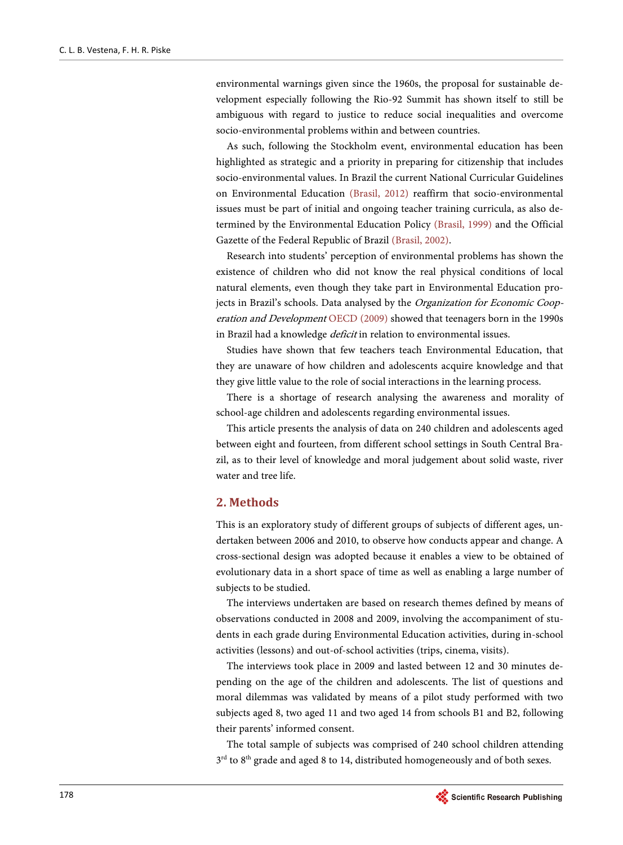environmental warnings given since the 1960s, the proposal for sustainable development especially following the Rio-92 Summit has shown itself to still be ambiguous with regard to justice to reduce social inequalities and overcome socio-environmental problems within and between countries.

As such, following the Stockholm event, environmental education has been highlighted as strategic and a priority in preparing for citizenship that includes socio-environmental values. In Brazil the current National Curricular Guidelines on Environmental Education [\(Brasil,](#page-11-0) 2012) reaffirm that socio-environmental issues must be part of initial and ongoing teacher training curricula, as also determined by the Environmental Education Policy [\(Brasil,](#page-11-1) 1999) and the Official Gazette of the Federal Republic of Brazil [\(Brasil,](#page-11-2) 2002).

Research into students' perception of environmental problems has shown the existence of children who did not know the real physical conditions of local natural elements, even though they take part in Environmental Education projects in Brazil's schools. Data analysed by the Organization for Economic Cooperation and Development [OECD \(2009\)](#page-11-3) showed that teenagers born in the 1990s in Brazil had a knowledge *deficit* in relation to environmental issues.

Studies have shown that few teachers teach Environmental Education, that they are unaware of how children and adolescents acquire knowledge and that they give little value to the role of social interactions in the learning process.

There is a shortage of research analysing the awareness and morality of school-age children and adolescents regarding environmental issues.

This article presents the analysis of data on 240 children and adolescents aged between eight and fourteen, from different school settings in South Central Brazil, as to their level of knowledge and moral judgement about solid waste, river water and tree life.

#### **2. Methods**

This is an exploratory study of different groups of subjects of different ages, undertaken between 2006 and 2010, to observe how conducts appear and change. A cross-sectional design was adopted because it enables a view to be obtained of evolutionary data in a short space of time as well as enabling a large number of subjects to be studied.

The interviews undertaken are based on research themes defined by means of observations conducted in 2008 and 2009, involving the accompaniment of students in each grade during Environmental Education activities, during in-school activities (lessons) and out-of-school activities (trips, cinema, visits).

The interviews took place in 2009 and lasted between 12 and 30 minutes depending on the age of the children and adolescents. The list of questions and moral dilemmas was validated by means of a pilot study performed with two subjects aged 8, two aged 11 and two aged 14 from schools B1 and B2, following their parents' informed consent.

The total sample of subjects was comprised of 240 school children attending 3<sup>rd</sup> to 8<sup>th</sup> grade and aged 8 to 14, distributed homogeneously and of both sexes.

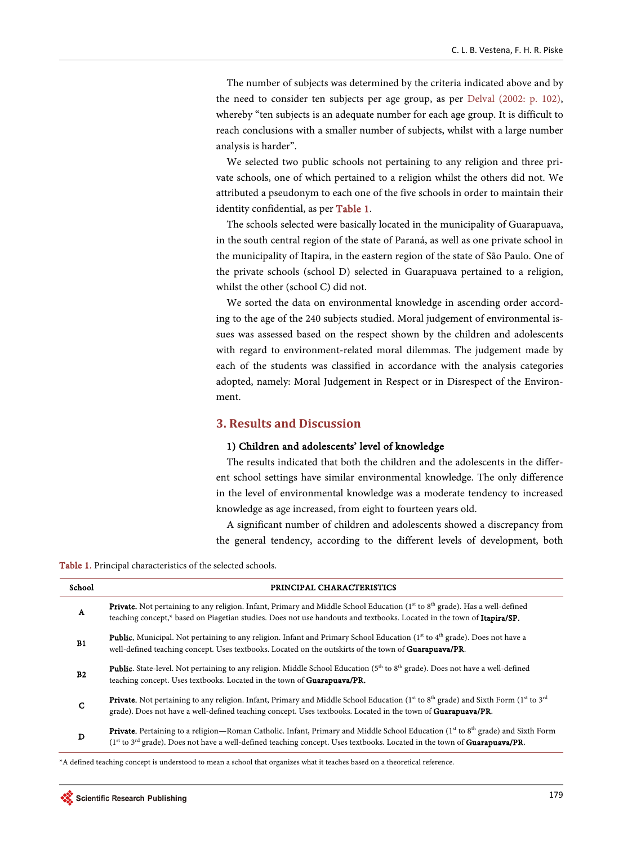The number of subjects was determined by the criteria indicated above and by the need to consider ten subjects per age group, as per [Delval \(2002: p.](#page-11-4) 102), whereby "ten subjects is an adequate number for each age group. It is difficult to reach conclusions with a smaller number of subjects, whilst with a large number analysis is harder".

We selected two public schools not pertaining to any religion and three private schools, one of which pertained to a religion whilst the others did not. We attributed a pseudonym to each one of the five schools in order to maintain their identity confidential, as per [Table 1.](#page-2-0)

The schools selected were basically located in the municipality of Guarapuava, in the south central region of the state of Paraná, as well as one private school in the municipality of Itapira, in the eastern region of the state of São Paulo. One of the private schools (school D) selected in Guarapuava pertained to a religion, whilst the other (school C) did not.

We sorted the data on environmental knowledge in ascending order according to the age of the 240 subjects studied. Moral judgement of environmental issues was assessed based on the respect shown by the children and adolescents with regard to environment-related moral dilemmas. The judgement made by each of the students was classified in accordance with the analysis categories adopted, namely: Moral Judgement in Respect or in Disrespect of the Environment.

## **3. Results and Discussion**

#### 1) Children and adolescents' level of knowledge

The results indicated that both the children and the adolescents in the different school settings have similar environmental knowledge. The only difference in the level of environmental knowledge was a moderate tendency to increased knowledge as age increased, from eight to fourteen years old.

A significant number of children and adolescents showed a discrepancy from the general tendency, according to the different levels of development, both

<span id="page-2-0"></span>Table 1. Principal characteristics of the selected schools.

| School         | PRINCIPAL CHARACTERISTICS                                                                                                                                                                                                                                                   |
|----------------|-----------------------------------------------------------------------------------------------------------------------------------------------------------------------------------------------------------------------------------------------------------------------------|
| A              | <b>Private.</b> Not pertaining to any religion. Infant, Primary and Middle School Education ( $1st$ to $8th$ grade). Has a well-defined<br>teaching concept,* based on Piagetian studies. Does not use handouts and textbooks. Located in the town of <b>Itapira/SP.</b>    |
| <b>B1</b>      | <b>Public.</b> Municipal. Not pertaining to any religion. Infant and Primary School Education ( $1st$ to $4th$ grade). Does not have a<br>well-defined teaching concept. Uses textbooks. Located on the outskirts of the town of <b>Guarapuava/PR</b> .                     |
| B <sub>2</sub> | <b>Public.</b> State-level. Not pertaining to any religion. Middle School Education (5 <sup>th</sup> to 8 <sup>th</sup> grade). Does not have a well-defined<br>teaching concept. Uses textbooks. Located in the town of Guarapuava/PR.                                     |
| $\mathbf C$    | <b>Private.</b> Not pertaining to any religion. Infant, Primary and Middle School Education ( $1st$ to $8th$ grade) and Sixth Form ( $1st$ to $3rd$<br>grade). Does not have a well-defined teaching concept. Uses textbooks. Located in the town of <b>Guarapuava/PR</b> . |
| D              | <b>Private.</b> Pertaining to a religion—Roman Catholic. Infant, Primary and Middle School Education ( $1st$ to $8th$ grade) and Sixth Form<br>(1st to 3rd grade). Does not have a well-defined teaching concept. Uses textbooks. Located in the town of Guarapuava/PR.     |

\*A defined teaching concept is understood to mean a school that organizes what it teaches based on a theoretical reference.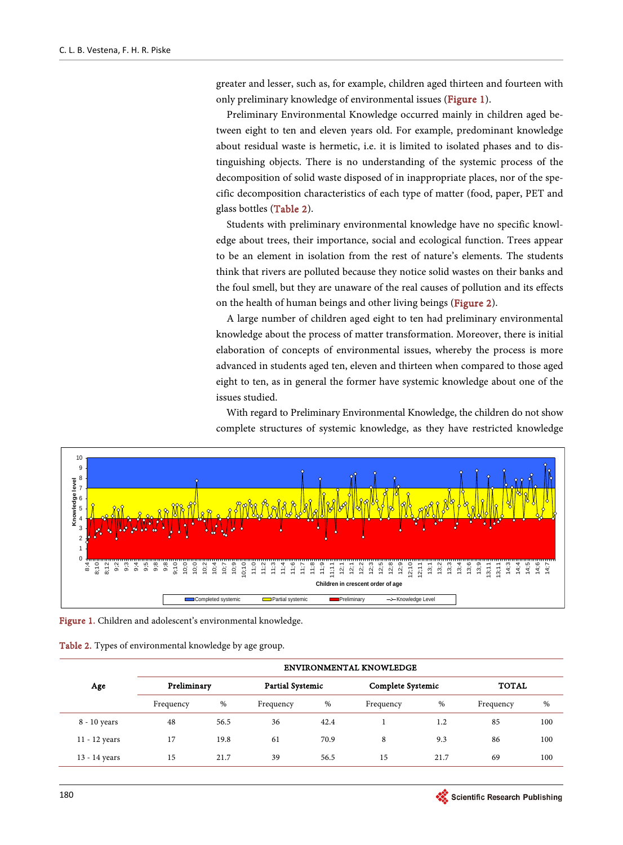greater and lesser, such as, for example, children aged thirteen and fourteen with only preliminary knowledge of environmental issues [\(Figure 1\)](#page-3-0).

Preliminary Environmental Knowledge occurred mainly in children aged between eight to ten and eleven years old. For example, predominant knowledge about residual waste is hermetic, i.e. it is limited to isolated phases and to distinguishing objects. There is no understanding of the systemic process of the decomposition of solid waste disposed of in inappropriate places, nor of the specific decomposition characteristics of each type of matter (food, paper, PET and glass bottles [\(Table 2\)](#page-3-1).

Students with preliminary environmental knowledge have no specific knowledge about trees, their importance, social and ecological function. Trees appear to be an element in isolation from the rest of nature's elements. The students think that rivers are polluted because they notice solid wastes on their banks and the foul smell, but they are unaware of the real causes of pollution and its effects on the health of human beings and other living beings [\(Figure 2\)](#page-4-0).

A large number of children aged eight to ten had preliminary environmental knowledge about the process of matter transformation. Moreover, there is initial elaboration of concepts of environmental issues, whereby the process is more advanced in students aged ten, eleven and thirteen when compared to those aged eight to ten, as in general the former have systemic knowledge about one of the issues studied.

With regard to Preliminary Environmental Knowledge, the children do not show complete structures of systemic knowledge, as they have restricted knowledge

<span id="page-3-0"></span>

Figure 1. Children and adolescent's environmental knowledge.

<span id="page-3-1"></span>

| Table 2. Types of environmental knowledge by age group. |  |  |  |  |  |  |  |  |
|---------------------------------------------------------|--|--|--|--|--|--|--|--|
|---------------------------------------------------------|--|--|--|--|--|--|--|--|

|                 | <b>ENVIRONMENTAL KNOWLEDGE</b> |      |                         |      |                   |      |              |     |  |
|-----------------|--------------------------------|------|-------------------------|------|-------------------|------|--------------|-----|--|
| Age             | Preliminary                    |      | <b>Partial Systemic</b> |      | Complete Systemic |      | <b>TOTAL</b> |     |  |
|                 | Frequency                      | %    | Frequency               | %    | Frequency         | $\%$ | Frequency    | %   |  |
| 8 - 10 years    | 48                             | 56.5 | 36                      | 42.4 |                   | 1.2  | 85           | 100 |  |
| $11 - 12$ years | 17                             | 19.8 | 61                      | 70.9 | 8                 | 9.3  | 86           | 100 |  |
| 13 - 14 years   | 15                             | 21.7 | 39                      | 56.5 | 15                | 21.7 | 69           | 100 |  |

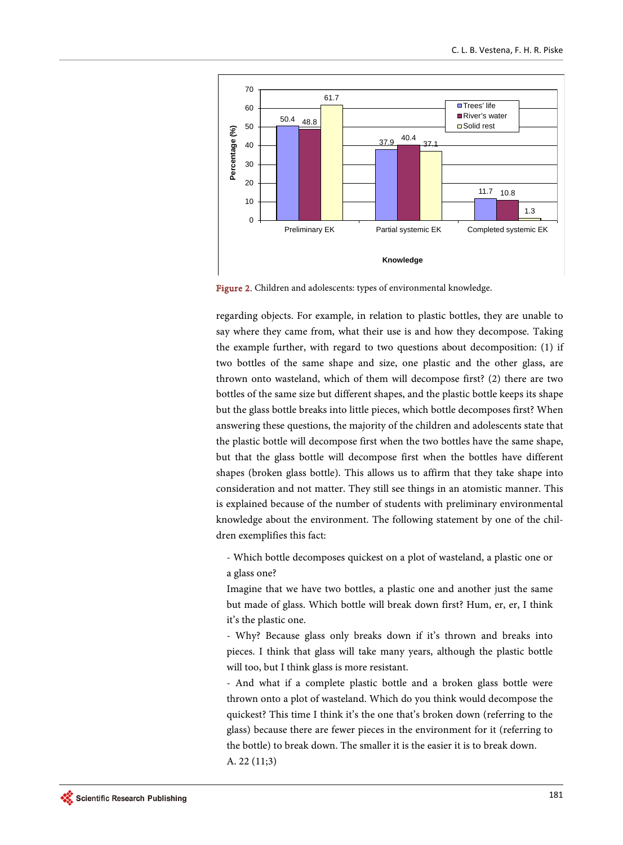<span id="page-4-0"></span>

Figure 2. Children and adolescents: types of environmental knowledge.

regarding objects. For example, in relation to plastic bottles, they are unable to say where they came from, what their use is and how they decompose. Taking the example further, with regard to two questions about decomposition: (1) if two bottles of the same shape and size, one plastic and the other glass, are thrown onto wasteland, which of them will decompose first? (2) there are two bottles of the same size but different shapes, and the plastic bottle keeps its shape but the glass bottle breaks into little pieces, which bottle decomposes first? When answering these questions, the majority of the children and adolescents state that the plastic bottle will decompose first when the two bottles have the same shape, but that the glass bottle will decompose first when the bottles have different shapes (broken glass bottle). This allows us to affirm that they take shape into consideration and not matter. They still see things in an atomistic manner. This is explained because of the number of students with preliminary environmental knowledge about the environment. The following statement by one of the children exemplifies this fact:

- Which bottle decomposes quickest on a plot of wasteland, a plastic one or a glass one?

Imagine that we have two bottles, a plastic one and another just the same but made of glass. Which bottle will break down first? Hum, er, er, I think it's the plastic one.

- Why? Because glass only breaks down if it's thrown and breaks into pieces. I think that glass will take many years, although the plastic bottle will too, but I think glass is more resistant.

- And what if a complete plastic bottle and a broken glass bottle were thrown onto a plot of wasteland. Which do you think would decompose the quickest? This time I think it's the one that's broken down (referring to the glass) because there are fewer pieces in the environment for it (referring to the bottle) to break down. The smaller it is the easier it is to break down. A. 22 (11;3)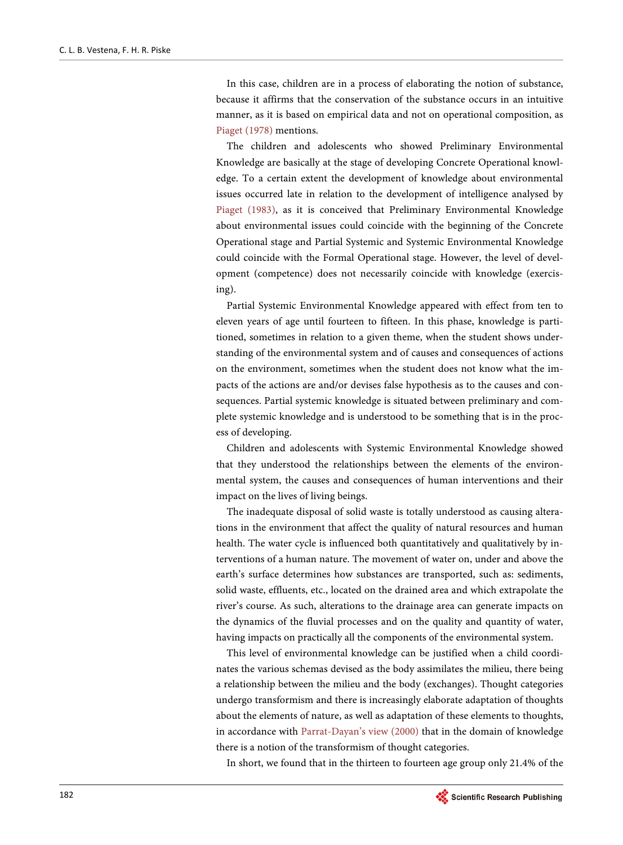In this case, children are in a process of elaborating the notion of substance, because it affirms that the conservation of the substance occurs in an intuitive manner, as it is based on empirical data and not on operational composition, as [Piaget \(1978\)](#page-11-5) mentions.

The children and adolescents who showed Preliminary Environmental Knowledge are basically at the stage of developing Concrete Operational knowledge. To a certain extent the development of knowledge about environmental issues occurred late in relation to the development of intelligence analysed by [Piaget \(1983\),](#page-11-6) as it is conceived that Preliminary Environmental Knowledge about environmental issues could coincide with the beginning of the Concrete Operational stage and Partial Systemic and Systemic Environmental Knowledge could coincide with the Formal Operational stage. However, the level of development (competence) does not necessarily coincide with knowledge (exercising).

Partial Systemic Environmental Knowledge appeared with effect from ten to eleven years of age until fourteen to fifteen. In this phase, knowledge is partitioned, sometimes in relation to a given theme, when the student shows understanding of the environmental system and of causes and consequences of actions on the environment, sometimes when the student does not know what the impacts of the actions are and/or devises false hypothesis as to the causes and consequences. Partial systemic knowledge is situated between preliminary and complete systemic knowledge and is understood to be something that is in the process of developing.

Children and adolescents with Systemic Environmental Knowledge showed that they understood the relationships between the elements of the environmental system, the causes and consequences of human interventions and their impact on the lives of living beings.

The inadequate disposal of solid waste is totally understood as causing alterations in the environment that affect the quality of natural resources and human health. The water cycle is influenced both quantitatively and qualitatively by interventions of a human nature. The movement of water on, under and above the earth's surface determines how substances are transported, such as: sediments, solid waste, effluents, etc., located on the drained area and which extrapolate the river's course. As such, alterations to the drainage area can generate impacts on the dynamics of the fluvial processes and on the quality and quantity of water, having impacts on practically all the components of the environmental system.

This level of environmental knowledge can be justified when a child coordinates the various schemas devised as the body assimilates the milieu, there being a relationship between the milieu and the body (exchanges). Thought categories undergo transformism and there is increasingly elaborate adaptation of thoughts about the elements of nature, as well as adaptation of these elements to thoughts, in accordance with [Parrat-Dayan's view \(2000\)](#page-11-7) that in the domain of knowledge there is a notion of the transformism of thought categories.

In short, we found that in the thirteen to fourteen age group only 21.4% of the

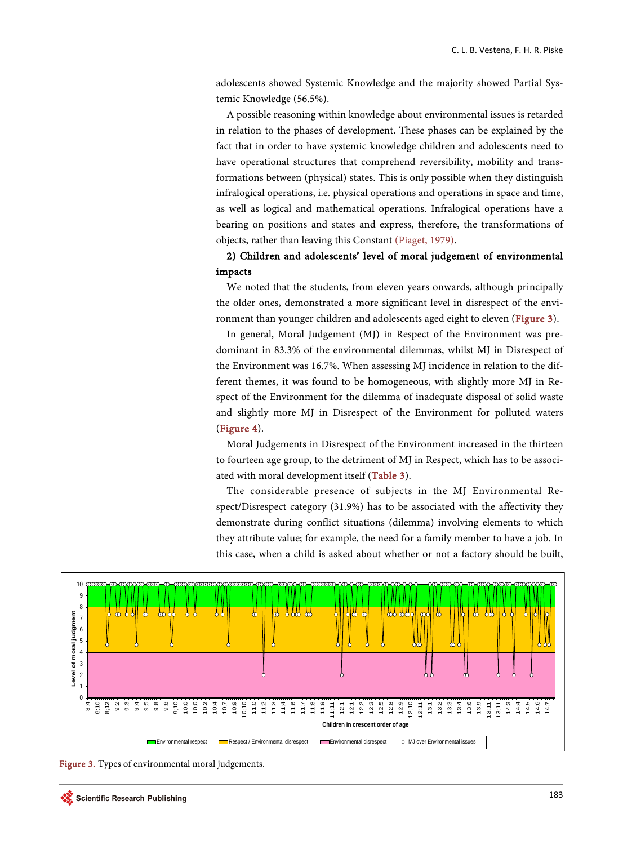adolescents showed Systemic Knowledge and the majority showed Partial Systemic Knowledge (56.5%).

A possible reasoning within knowledge about environmental issues is retarded in relation to the phases of development. These phases can be explained by the fact that in order to have systemic knowledge children and adolescents need to have operational structures that comprehend reversibility, mobility and transformations between (physical) states. This is only possible when they distinguish infralogical operations, i.e. physical operations and operations in space and time, as well as logical and mathematical operations. Infralogical operations have a bearing on positions and states and express, therefore, the transformations of objects, rather than leaving this Constant [\(Piaget, 1979\)](#page-11-8).

# 2) Children and adolescents' level of moral judgement of environmental impacts

We noted that the students, from eleven years onwards, although principally the older ones, demonstrated a more significant level in disrespect of the envi-ronment than younger children and adolescents aged eight to eleven [\(Figure 3\)](#page-6-0).

In general, Moral Judgement (MJ) in Respect of the Environment was predominant in 83.3% of the environmental dilemmas, whilst MJ in Disrespect of the Environment was 16.7%. When assessing MJ incidence in relation to the different themes, it was found to be homogeneous, with slightly more MJ in Respect of the Environment for the dilemma of inadequate disposal of solid waste and slightly more MJ in Disrespect of the Environment for polluted waters [\(Figure 4\)](#page-7-0).

Moral Judgements in Disrespect of the Environment increased in the thirteen to fourteen age group, to the detriment of MJ in Respect, which has to be associated with moral development itself [\(Table 3\)](#page-7-1).

The considerable presence of subjects in the MJ Environmental Respect/Disrespect category (31.9%) has to be associated with the affectivity they demonstrate during conflict situations (dilemma) involving elements to which they attribute value; for example, the need for a family member to have a job. In this case, when a child is asked about whether or not a factory should be built,

<span id="page-6-0"></span>

Figure 3. Types of environmental moral judgements.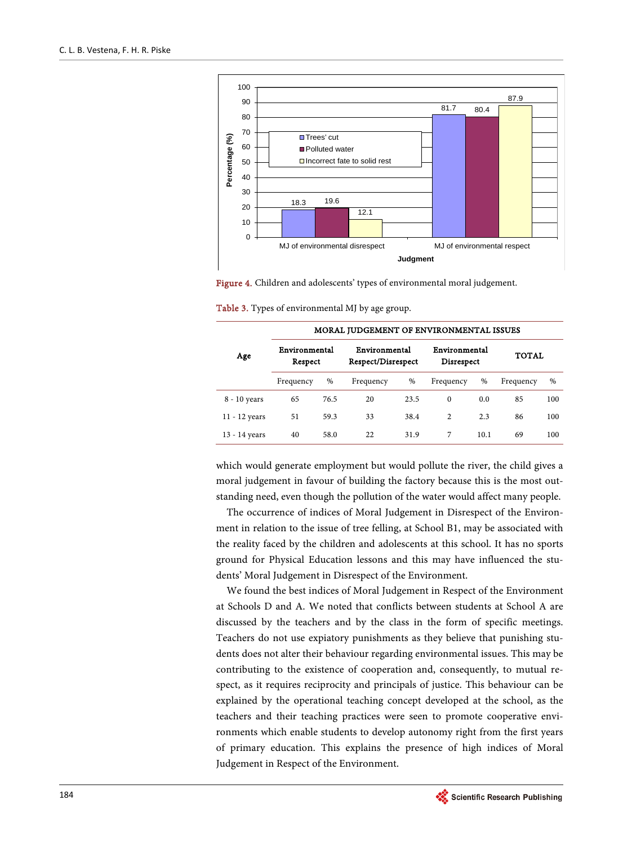<span id="page-7-0"></span>

Figure 4. Children and adolescents' types of environmental moral judgement.

<span id="page-7-1"></span>Table 3. Types of environmental MJ by age group.

|               | MORAL JUDGEMENT OF ENVIRONMENTAL ISSUES |      |                                     |      |                             |      |           |      |  |
|---------------|-----------------------------------------|------|-------------------------------------|------|-----------------------------|------|-----------|------|--|
| Age           | Environmental<br>Respect                |      | Environmental<br>Respect/Disrespect |      | Environmental<br>Disrespect |      | TOTAL     |      |  |
|               | Frequency                               | %    | Frequency                           | %    | Frequency                   | $\%$ | Frequency | $\%$ |  |
| 8 - 10 years  | 65                                      | 76.5 | 20                                  | 23.5 | $\Omega$                    | 0.0  | 85        | 100  |  |
| 11 - 12 years | 51                                      | 59.3 | 33                                  | 38.4 | 2                           | 2.3  | 86        | 100  |  |
| 13 - 14 years | 40                                      | 58.0 | 22                                  | 31.9 | 7                           | 10.1 | 69        | 100  |  |

which would generate employment but would pollute the river, the child gives a moral judgement in favour of building the factory because this is the most outstanding need, even though the pollution of the water would affect many people.

The occurrence of indices of Moral Judgement in Disrespect of the Environment in relation to the issue of tree felling, at School B1, may be associated with the reality faced by the children and adolescents at this school. It has no sports ground for Physical Education lessons and this may have influenced the students' Moral Judgement in Disrespect of the Environment.

We found the best indices of Moral Judgement in Respect of the Environment at Schools D and A. We noted that conflicts between students at School A are discussed by the teachers and by the class in the form of specific meetings. Teachers do not use expiatory punishments as they believe that punishing students does not alter their behaviour regarding environmental issues. This may be contributing to the existence of cooperation and, consequently, to mutual respect, as it requires reciprocity and principals of justice. This behaviour can be explained by the operational teaching concept developed at the school, as the teachers and their teaching practices were seen to promote cooperative environments which enable students to develop autonomy right from the first years of primary education. This explains the presence of high indices of Moral Judgement in Respect of the Environment.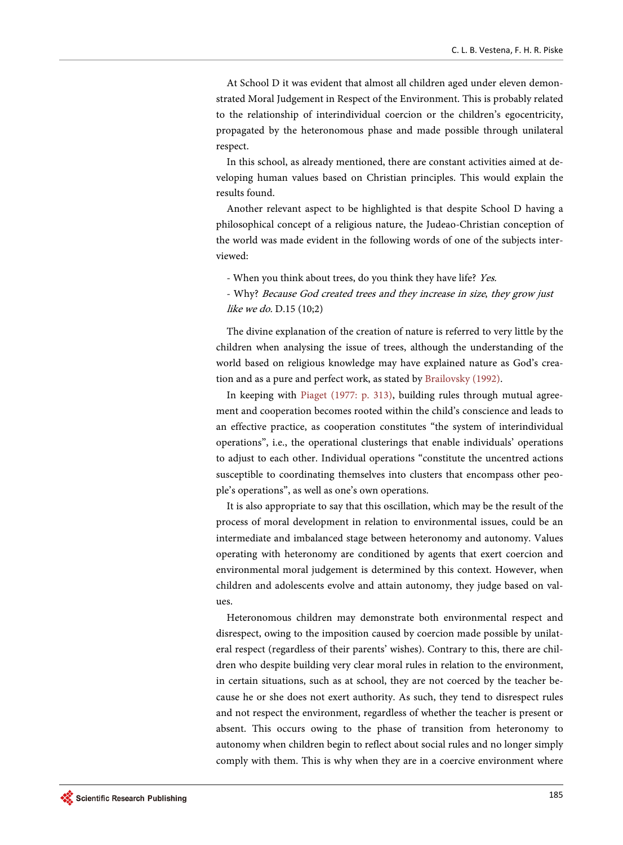At School D it was evident that almost all children aged under eleven demonstrated Moral Judgement in Respect of the Environment. This is probably related to the relationship of interindividual coercion or the children's egocentricity, propagated by the heteronomous phase and made possible through unilateral respect.

In this school, as already mentioned, there are constant activities aimed at developing human values based on Christian principles. This would explain the results found.

Another relevant aspect to be highlighted is that despite School D having a philosophical concept of a religious nature, the Judeao-Christian conception of the world was made evident in the following words of one of the subjects interviewed:

- When you think about trees, do you think they have life? Yes.

- Why? Because God created trees and they increase in size, they grow just like we do. D.15 (10;2)

The divine explanation of the creation of nature is referred to very little by the children when analysing the issue of trees, although the understanding of the world based on religious knowledge may have explained nature as God's creation and as a pure and perfect work, as stated by [Brailovsky \(1992\).](#page-11-9) 

In keeping with [Piaget \(1977:](#page-11-10) p. 313), building rules through mutual agreement and cooperation becomes rooted within the child's conscience and leads to an effective practice, as cooperation constitutes "the system of interindividual operations", i.e., the operational clusterings that enable individuals' operations to adjust to each other. Individual operations "constitute the uncentred actions susceptible to coordinating themselves into clusters that encompass other people's operations", as well as one's own operations.

It is also appropriate to say that this oscillation, which may be the result of the process of moral development in relation to environmental issues, could be an intermediate and imbalanced stage between heteronomy and autonomy. Values operating with heteronomy are conditioned by agents that exert coercion and environmental moral judgement is determined by this context. However, when children and adolescents evolve and attain autonomy, they judge based on values.

Heteronomous children may demonstrate both environmental respect and disrespect, owing to the imposition caused by coercion made possible by unilateral respect (regardless of their parents' wishes). Contrary to this, there are children who despite building very clear moral rules in relation to the environment, in certain situations, such as at school, they are not coerced by the teacher because he or she does not exert authority. As such, they tend to disrespect rules and not respect the environment, regardless of whether the teacher is present or absent. This occurs owing to the phase of transition from heteronomy to autonomy when children begin to reflect about social rules and no longer simply comply with them. This is why when they are in a coercive environment where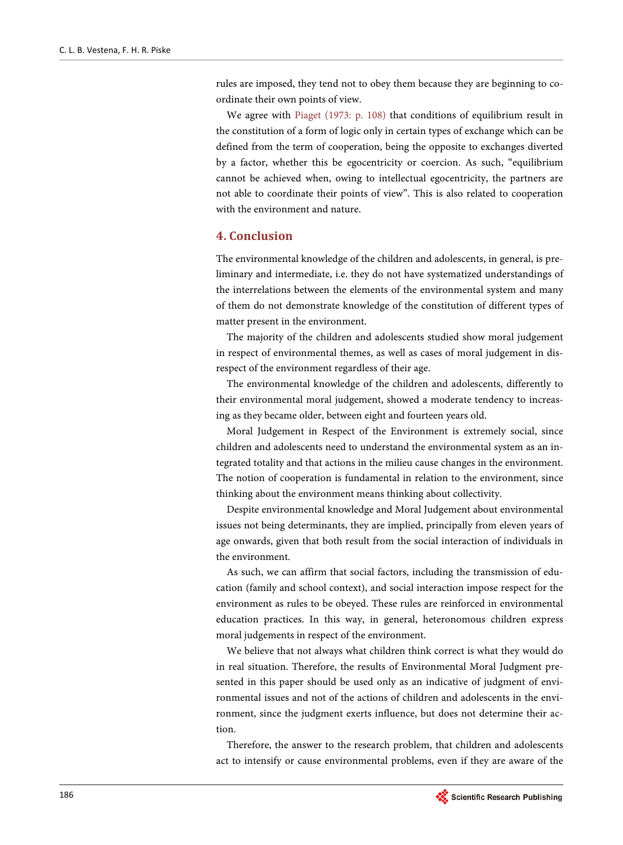rules are imposed, they tend not to obey them because they are beginning to coordinate their own points of view.

We agree with [Piaget \(1973:](#page-11-11) p. 108) that conditions of equilibrium result in the constitution of a form of logic only in certain types of exchange which can be defined from the term of cooperation, being the opposite to exchanges diverted by a factor, whether this be egocentricity or coercion. As such, "equilibrium cannot be achieved when, owing to intellectual egocentricity, the partners are not able to coordinate their points of view". This is also related to cooperation with the environment and nature.

## **4. Conclusion**

The environmental knowledge of the children and adolescents, in general, is preliminary and intermediate, i.e. they do not have systematized understandings of the interrelations between the elements of the environmental system and many of them do not demonstrate knowledge of the constitution of different types of matter present in the environment.

The majority of the children and adolescents studied show moral judgement in respect of environmental themes, as well as cases of moral judgement in disrespect of the environment regardless of their age.

The environmental knowledge of the children and adolescents, differently to their environmental moral judgement, showed a moderate tendency to increasing as they became older, between eight and fourteen years old.

Moral Judgement in Respect of the Environment is extremely social, since children and adolescents need to understand the environmental system as an integrated totality and that actions in the milieu cause changes in the environment. The notion of cooperation is fundamental in relation to the environment, since thinking about the environment means thinking about collectivity.

Despite environmental knowledge and Moral Judgement about environmental issues not being determinants, they are implied, principally from eleven years of age onwards, given that both result from the social interaction of individuals in the environment.

As such, we can affirm that social factors, including the transmission of education (family and school context), and social interaction impose respect for the environment as rules to be obeyed. These rules are reinforced in environmental education practices. In this way, in general, heteronomous children express moral judgements in respect of the environment.

We believe that not always what children think correct is what they would do in real situation. Therefore, the results of Environmental Moral Judgment presented in this paper should be used only as an indicative of judgment of environmental issues and not of the actions of children and adolescents in the environment, since the judgment exerts influence, but does not determine their action.

Therefore, the answer to the research problem, that children and adolescents act to intensify or cause environmental problems, even if they are aware of the

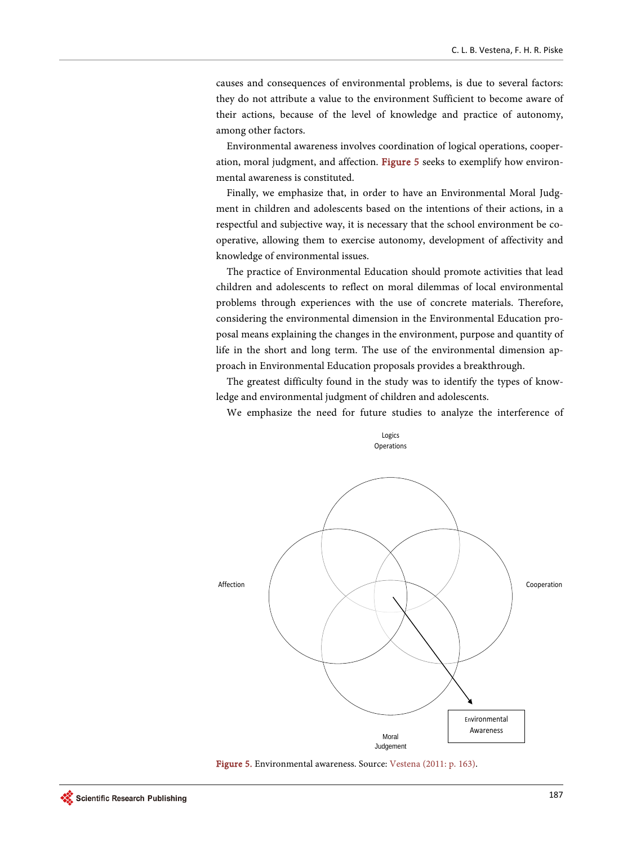causes and consequences of environmental problems, is due to several factors: they do not attribute a value to the environment Sufficient to become aware of their actions, because of the level of knowledge and practice of autonomy, among other factors.

Environmental awareness involves coordination of logical operations, cooperation, moral judgment, and affection. [Figure 5](#page-10-0) seeks to exemplify how environmental awareness is constituted.

Finally, we emphasize that, in order to have an Environmental Moral Judgment in children and adolescents based on the intentions of their actions, in a respectful and subjective way, it is necessary that the school environment be cooperative, allowing them to exercise autonomy, development of affectivity and knowledge of environmental issues.

The practice of Environmental Education should promote activities that lead children and adolescents to reflect on moral dilemmas of local environmental problems through experiences with the use of concrete materials. Therefore, considering the environmental dimension in the Environmental Education proposal means explaining the changes in the environment, purpose and quantity of life in the short and long term. The use of the environmental dimension approach in Environmental Education proposals provides a breakthrough.

The greatest difficulty found in the study was to identify the types of knowledge and environmental judgment of children and adolescents.

We emphasize the need for future studies to analyze the interference of

<span id="page-10-0"></span>

Figure 5. Environmental awareness. Source[: Vestena \(2011:](#page-11-12) p. 163).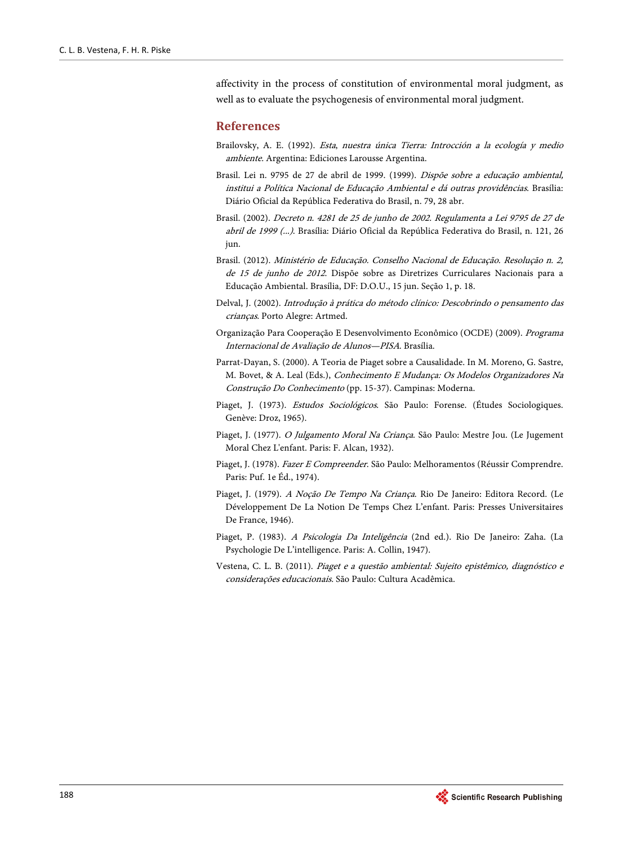affectivity in the process of constitution of environmental moral judgment, as well as to evaluate the psychogenesis of environmental moral judgment.

## **References**

- <span id="page-11-9"></span>Brailovsky, A. E. (1992). Esta, nuestra única Tierra: Introcción a la ecología y medio ambiente. Argentina: Ediciones Larousse Argentina.
- <span id="page-11-1"></span>Brasil. Lei n. 9795 de 27 de abril de 1999. (1999). Dispõe sobre a educação ambiental, institui a Política Nacional de Educação Ambiental e dá outras providências. Brasília: Diário Oficial da República Federativa do Brasil, n. 79, 28 abr.
- <span id="page-11-2"></span>Brasil. (2002). Decreto n. 4281 de 25 de junho de 2002. Regulamenta a Lei 9795 de 27 de abril de 1999 (...). Brasília: Diário Oficial da República Federativa do Brasil, n. 121, 26 jun.
- <span id="page-11-0"></span>Brasil. (2012). Ministério de Educação. Conselho Nacional de Educação. Resolução n. 2, de 15 de junho de 2012. Dispõe sobre as Diretrizes Curriculares Nacionais para a Educação Ambiental. Brasília, DF: D.O.U., 15 jun. Seção 1, p. 18.
- <span id="page-11-4"></span>Delval, J. (2002). Introdução à prática do método clínico: Descobrindo o pensamento das crianças. Porto Alegre: Artmed.
- <span id="page-11-3"></span>Organização Para Cooperação E Desenvolvimento Econômico (OCDE) (2009). Programa Internacional de Avaliação de Alunos—PISA. Brasília.
- <span id="page-11-7"></span>Parrat-Dayan, S. (2000). A Teoria de Piaget sobre a Causalidade. In M. Moreno, G. Sastre, M. Bovet, & A. Leal (Eds.), Conhecimento E Mudança: Os Modelos Organizadores Na Construção Do Conhecimento (pp. 15-37). Campinas: Moderna.
- <span id="page-11-11"></span>Piaget, J. (1973). Estudos Sociológicos. São Paulo: Forense. (Études Sociologiques. Genève: Droz, 1965).
- <span id="page-11-10"></span>Piaget, J. (1977). O Julgamento Moral Na Criança. São Paulo: Mestre Jou. (Le Jugement Moral Chez L'enfant. Paris: F. Alcan, 1932).
- <span id="page-11-5"></span>Piaget, J. (1978). Fazer E Compreender. São Paulo: Melhoramentos (Réussir Comprendre. Paris: Puf. 1e Éd., 1974).
- <span id="page-11-8"></span>Piaget, J. (1979). A Noção De Tempo Na Criança. Rio De Janeiro: Editora Record. (Le Développement De La Notion De Temps Chez L'enfant. Paris: Presses Universitaires De France, 1946).
- <span id="page-11-6"></span>Piaget, P. (1983). A Psicologia Da Inteligência (2nd ed.). Rio De Janeiro: Zaha. (La Psychologie De L'intelligence. Paris: A. Collin, 1947).
- <span id="page-11-12"></span>Vestena, C. L. B. (2011). Piaget e a questão ambiental: Sujeito epistêmico, diagnóstico e considerações educacionais. São Paulo: Cultura Acadêmica.